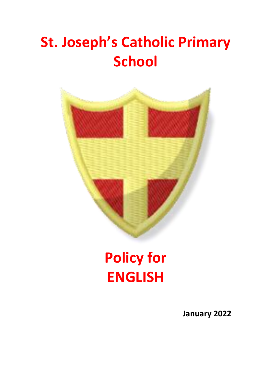# **St. Joseph's Catholic Primary School**



# **Policy for ENGLISH**

**January 2022**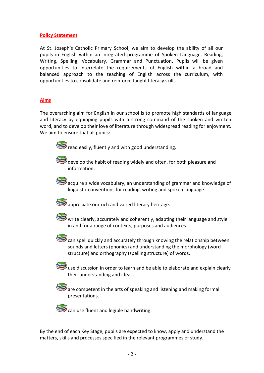## **Policy Statement**

At St. Joseph's Catholic Primary School, we aim to develop the ability of all our pupils in English within an integrated programme of Spoken Language, Reading, Writing, Spelling, Vocabulary, Grammar and Punctuation. Pupils will be given opportunities to interrelate the requirements of English within a broad and balanced approach to the teaching of English across the curriculum, with opportunities to consolidate and reinforce taught literacy skills.

## **Aims**

The overarching aim for English in our school is to promote high standards of language and literacy by equipping pupils with a strong command of the spoken and written word, and to develop their love of literature through widespread reading for enjoyment. We aim to ensure that all pupils:



read easily, fluently and with good understanding.



 $\frac{1}{2}$  develop the habit of reading widely and often, for both pleasure and information.



acquire a wide vocabulary, an understanding of grammar and knowledge of linguistic conventions for reading, writing and spoken language.



appreciate our rich and varied literary heritage.



write clearly, accurately and coherently, adapting their language and style in and for a range of contexts, purposes and audiences.



can spell quickly and accurately through knowing the relationship between sounds and letters (phonics) and understanding the morphology (word structure) and orthography (spelling structure) of words.

use discussion in order to learn and be able to elaborate and explain clearly their understanding and ideas.

are competent in the arts of speaking and listening and making formal presentations.



can use fluent and legible handwriting.

By the end of each Key Stage, pupils are expected to know, apply and understand the matters, skills and processes specified in the relevant programmes of study.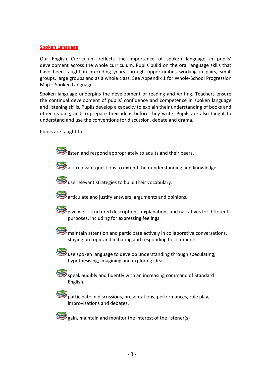### **Spoken Language**

Our English Curriculum reflects the importance of spoken language in pupils' development across the whole curriculum. Pupils build on the oral language skills that have been taught in preceding years through opportunities working in pairs, small groups, large groups and as a whole class. See Appendix 1 for Whole-School Progression Map – Spoken Language.

Spoken language underpins the development of reading and writing. Teachers ensure the continual development of pupils' confidence and competence in spoken language and listening skills. Pupils develop a capacity to explain their understanding of books and other reading, and to prepare their ideas before they write. Pupils are also taught to understand and use the conventions for discussion, debate and drama.

Pupils are taught to:

listen and respond appropriately to adults and their peers.

ask relevant questions to extend their understanding and knowledge.



use relevant strategies to build their vocabulary.



articulate and justify answers, arguments and opinions.



give well-structured descriptions, explanations and narratives for different purposes, including for expressing feelings.

maintain attention and participate actively in collaborative conversations, staying on topic and initiating and responding to comments.



use spoken language to develop understanding through speculating, hypothesising, imagining and exploring ideas.



speak audibly and fluently with an increasing command of Standard English.



participate in discussions, presentations, performances, role play, improvisations and debates.

 $\blacktriangleright$  gain, maintain and monitor the interest of the listener(s)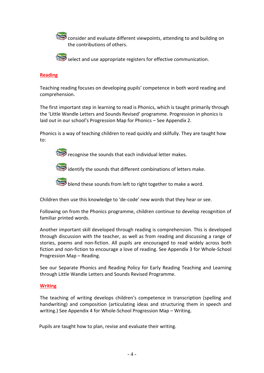consider and evaluate different viewpoints, attending to and building on the contributions of others.



select and use appropriate registers for effective communication.

## **Reading**

Teaching reading focuses on developing pupils' competence in both word reading and comprehension.

The first important step in learning to read is Phonics, which is taught primarily through the 'Little Wandle Letters and Sounds Revised' programme. Progression in phonics is laid out in our school's Progression Map for Phonics – See Appendix 2.

Phonics is a way of teaching children to read quickly and skilfully. They are taught how to:

recognise the sounds that each individual letter makes.

identify the sounds that different combinations of letters make.

blend these sounds from left to right together to make a word.

Children then use this knowledge to 'de-code' new words that they hear or see.

Following on from the Phonics programme, children continue to develop recognition of familiar printed words.

Another important skill developed through reading is comprehension. This is developed through discussion with the teacher, as well as from reading and discussing a range of stories, poems and non-fiction. All pupils are encouraged to read widely across both fiction and non-fiction to encourage a love of reading. See Appendix 3 for Whole-School Progression Map – Reading.

See our Separate Phonics and Reading Policy for Early Reading Teaching and Learning through Little Wandle Letters and Sounds Revised Programme.

## **Writing**

The teaching of writing develops children's competence in transcription (spelling and handwriting) and composition (articulating ideas and structuring them in speech and writing.) See Appendix 4 for Whole-School Progression Map – Writing.

Pupils are taught how to plan, revise and evaluate their writing.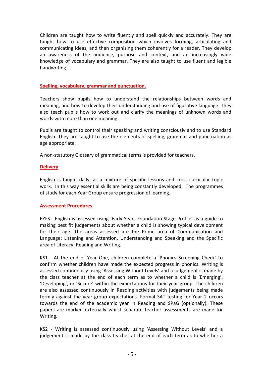Children are taught how to write fluently and spell quickly and accurately. They are taught how to use effective composition which involves forming, articulating and communicating ideas, and then organising them coherently for a reader. They develop an awareness of the audience, purpose and context, and an increasingly wide knowledge of vocabulary and grammar. They are also taught to use fluent and legible handwriting.

### **Spelling, vocabulary, grammar and punctuation.**

Teachers show pupils how to understand the relationships between words and meaning, and how to develop their understanding and use of figurative language. They also teach pupils how to work out and clarify the meanings of unknown words and words with more than one meaning.

Pupils are taught to control their speaking and writing consciously and to use Standard English. They are taught to use the elements of spelling, grammar and punctuation as age appropriate.

A non-statutory Glossary of grammatical terms is provided for teachers.

## **Delivery**

English is taught daily, as a mixture of specific lessons and cross-curricular topic work. In this way essential skills are being constantly developed. The programmes of study for each Year Group ensure progression of learning.

## **Assessment Procedures**

EYFS - English is assessed using 'Early Years Foundation Stage Profile' as a guide to making best fit judgements about whether a child is showing typical development for their age. The areas assessed are the Prime area of Communication and Language; Listening and Attention, Understanding and Speaking and the Specific area of Literacy; Reading and Writing.

KS1 - At the end of Year One, children complete a 'Phonics Screening Check' to confirm whether children have made the expected progress in phonics. Writing is assessed continuously using 'Assessing Without Levels' and a judgement is made by the class teacher at the end of each term as to whether a child is 'Emerging', 'Developing', or 'Secure' within the expectations for their year group. The children are also assessed continuously in Reading activities with judgements being made termly against the year group expectations. Formal SAT testing for Year 2 occurs towards the end of the academic year in Reading and SPaG (optionally). These papers are marked externally whilst separate teacher assessments are made for Writing.

KS2 - Writing is assessed continuously using 'Assessing Without Levels' and a judgement is made by the class teacher at the end of each term as to whether a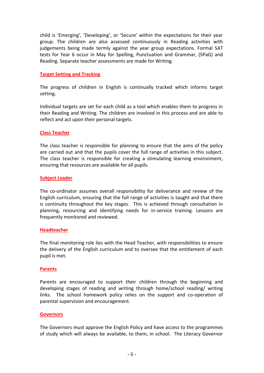child is 'Emerging', 'Developing', or 'Secure' within the expectations for their year group. The children are also assessed continuously in Reading activities with judgements being made termly against the year group expectations. Formal SAT tests for Year 6 occur in May for Spelling, Punctuation and Grammar, (SPaG) and Reading. Separate teacher assessments are made for Writing.

### **Target Setting and Tracking**

The progress of children in English is continually tracked which informs target setting.

Individual targets are set for each child as a tool which enables them to progress in their Reading and Writing. The children are involved in this process and are able to reflect and act upon their personal targets.

### **Class Teacher**

The class teacher is responsible for planning to ensure that the aims of the policy are carried out and that the pupils cover the full range of activities in this subject. The class teacher is responsible for creating a stimulating learning environment, ensuring that resources are available for all pupils.

## **Subject Leader**

The co-ordinator assumes overall responsibility for deliverance and review of the English curriculum, ensuring that the full range of activities is taught and that there is continuity throughout the key stages. This is achieved through consultation in planning, resourcing and identifying needs for in-service training. Lessons are frequently monitored and reviewed.

### **Headteacher**

The final monitoring role lies with the Head Teacher, with responsibilities to ensure the delivery of the English curriculum and to oversee that the entitlement of each pupil is met.

### **Parents**

Parents are encouraged to support their children through the beginning and developing stages of reading and writing through home/school reading/ writing links. The school homework policy relies on the support and co-operation of parental supervision and encouragement.

### **Governors**

The Governors must approve the English Policy and have access to the programmes of study which will always be available, to them, in school. The Literacy Governor